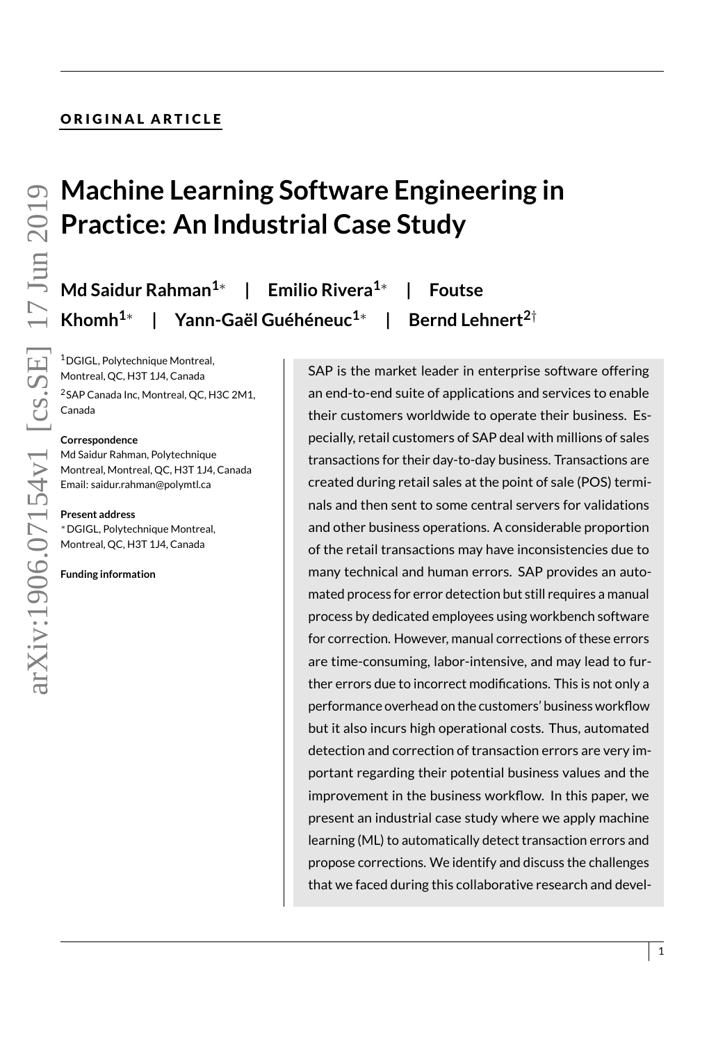# ORIGINAL ARTICLE

# **Machine Learning Software Engineering in Practice: An Industrial Case Study**

**Md Saidur Rahman1**<sup>∗</sup> **| Emilio Rivera1**<sup>∗</sup> **| Foutse Khomh1**<sup>∗</sup> **| Yann-Gaël Guéhéneuc1**<sup>∗</sup> **| Bernd Lehnert2**†

 $1$ DGIGL, Polytechnique Montreal, Montreal, QC, H3T 1J4, Canada

<sup>2</sup>SAP Canada Inc, Montreal, QC, H3C 2M1, Canada

#### **Correspondence**

Md Saidur Rahman, Polytechnique Montreal, Montreal, QC, H3T 1J4, Canada Email: saidur.rahman@polymtl.ca

#### **Present address**

<sup>∗</sup>DGIGL, Polytechnique Montreal, Montreal, QC, H3T 1J4, Canada

**Funding information**

SAP is the market leader in enterprise software offering an end-to-end suite of applications and services to enable their customers worldwide to operate their business. Especially, retail customers of SAP deal with millions of sales transactions for their day-to-day business. Transactions are created during retail sales at the point of sale (POS) terminals and then sent to some central servers for validations and other business operations. A considerable proportion of the retail transactions may have inconsistencies due to many technical and human errors. SAP provides an automated process for error detection but still requires a manual process by dedicated employees using workbench software for correction. However, manual corrections of these errors are time-consuming, labor-intensive, and may lead to further errors due to incorrect modifications. This is not only a performance overhead on the customers' business workflow but it also incurs high operational costs. Thus, automated detection and correction of transaction errors are very important regarding their potential business values and the improvement in the business workflow. In this paper, we present an industrial case study where we apply machine learning (ML) to automatically detect transaction errors and propose corrections. We identify and discuss the challenges that we faced during this collaborative research and devel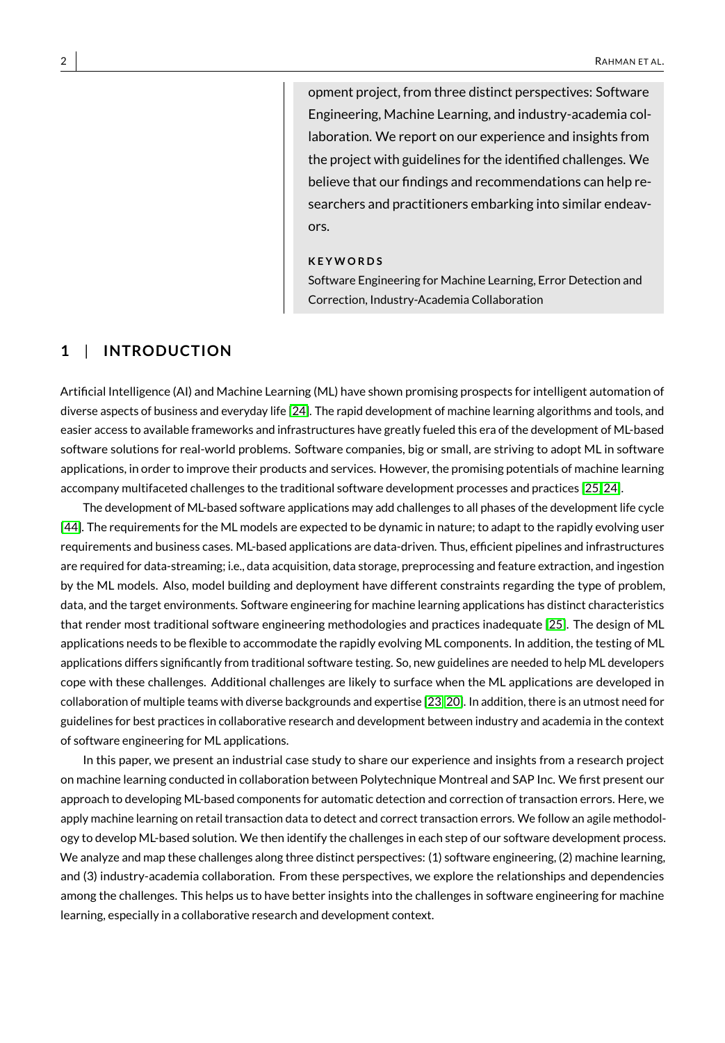opment project, from three distinct perspectives: Software Engineering, Machine Learning, and industry-academia collaboration. We report on our experience and insights from the project with guidelines for the identified challenges. We believe that our findings and recommendations can help researchers and practitioners embarking into similar endeavors.

#### **K E Y W O R D S**

Software Engineering for Machine Learning, Error Detection and Correction, Industry-Academia Collaboration

# **1** | **INTRODUCT ION**

Artificial Intelligence (AI) and Machine Learning (ML) have shown promising prospects for intelligent automation of diverse aspects of business and everyday life [\[24\]](#page-19-0). The rapid development of machine learning algorithms and tools, and easier access to available frameworks and infrastructures have greatly fueled this era of the development of ML-based software solutions for real-world problems. Software companies, big or small, are striving to adopt ML in software applications, in order to improve their products and services. However, the promising potentials of machine learning accompany multifaceted challenges to the traditional software development processes and practices [\[25,](#page-19-1) [24\]](#page-19-0).

The development of ML-based software applications may add challenges to all phases of the development life cycle [\[44\]](#page-20-0). The requirements for the ML models are expected to be dynamic in nature; to adapt to the rapidly evolving user requirements and business cases. ML-based applications are data-driven. Thus, efficient pipelines and infrastructures are required for data-streaming; i.e., data acquisition, data storage, preprocessing and feature extraction, and ingestion by the ML models. Also, model building and deployment have different constraints regarding the type of problem, data, and the target environments. Software engineering for machine learning applications has distinct characteristics that render most traditional software engineering methodologies and practices inadequate [\[25\]](#page-19-1). The design of ML applications needs to be flexible to accommodate the rapidly evolving ML components. In addition, the testing of ML applications differs significantly from traditional software testing. So, new guidelines are needed to help ML developers cope with these challenges. Additional challenges are likely to surface when the ML applications are developed in collaboration of multiple teams with diverse backgrounds and expertise [\[23,](#page-19-2) [20\]](#page-19-3). In addition, there is an utmost need for guidelines for best practices in collaborative research and development between industry and academia in the context of software engineering for ML applications.

In this paper, we present an industrial case study to share our experience and insights from a research project on machine learning conducted in collaboration between Polytechnique Montreal and SAP Inc. We first present our approach to developing ML-based components for automatic detection and correction of transaction errors. Here, we apply machine learning on retail transaction data to detect and correct transaction errors. We follow an agile methodology to develop ML-based solution. We then identify the challenges in each step of our software development process. We analyze and map these challenges along three distinct perspectives: (1) software engineering, (2) machine learning, and (3) industry-academia collaboration. From these perspectives, we explore the relationships and dependencies among the challenges. This helps us to have better insights into the challenges in software engineering for machine learning, especially in a collaborative research and development context.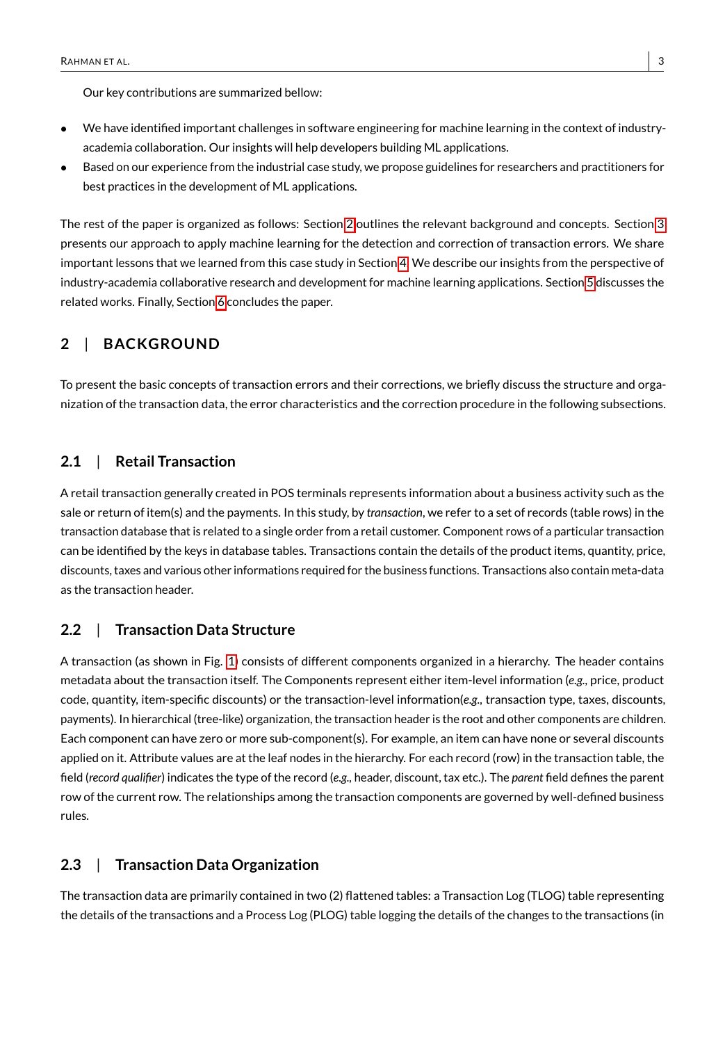Our key contributions are summarized bellow:

- We have identified important challenges in software engineering for machine learning in the context of industryacademia collaboration. Our insights will help developers building ML applications.
- Based on our experience from the industrial case study, we propose guidelines for researchers and practitioners for best practices in the development of ML applications.

The rest of the paper is organized as follows: Section [2](#page-2-0) outlines the relevant background and concepts. Section [3](#page-3-0) presents our approach to apply machine learning for the detection and correction of transaction errors. We share important lessons that we learned from this case study in Section [4.](#page-8-0) We describe our insights from the perspective of industry-academia collaborative research and development for machine learning applications. Section [5](#page-17-0) discusses the related works. Finally, Section [6](#page-18-0) concludes the paper.

# <span id="page-2-0"></span>**2** | **BACKGROUND**

To present the basic concepts of transaction errors and their corrections, we briefly discuss the structure and organization of the transaction data, the error characteristics and the correction procedure in the following subsections.

# **2.1** | **Retail Transaction**

A retail transaction generally created in POS terminals represents information about a business activity such as the sale or return of item(s) and the payments. In this study, by *transaction*, we refer to a set of records (table rows) in the transaction database that is related to a single order from a retail customer. Component rows of a particular transaction can be identified by the keys in database tables. Transactions contain the details of the product items, quantity, price, discounts, taxes and various other informations required for the business functions. Transactions also contain meta-data as the transaction header.

# **2.2** | **Transaction Data Structure**

A transaction (as shown in Fig. [1\)](#page-3-1) consists of different components organized in a hierarchy. The header contains metadata about the transaction itself. The Components represent either item-level information (*e.g.,* price, product code, quantity, item-specific discounts) or the transaction-level information(*e.g.,* transaction type, taxes, discounts, payments). In hierarchical (tree-like) organization, the transaction header is the root and other components are children. Each component can have zero or more sub-component(s). For example, an item can have none or several discounts applied on it. Attribute values are at the leaf nodes in the hierarchy. For each record (row) in the transaction table, the field (*record qualifier*) indicates the type of the record (*e.g.,* header, discount, tax etc.). The *parent* field defines the parent row of the current row. The relationships among the transaction components are governed by well-defined business rules.

#### **2.3** | **Transaction Data Organization**

The transaction data are primarily contained in two (2) flattened tables: a Transaction Log (TLOG) table representing the details of the transactions and a Process Log (PLOG) table logging the details of the changes to the transactions (in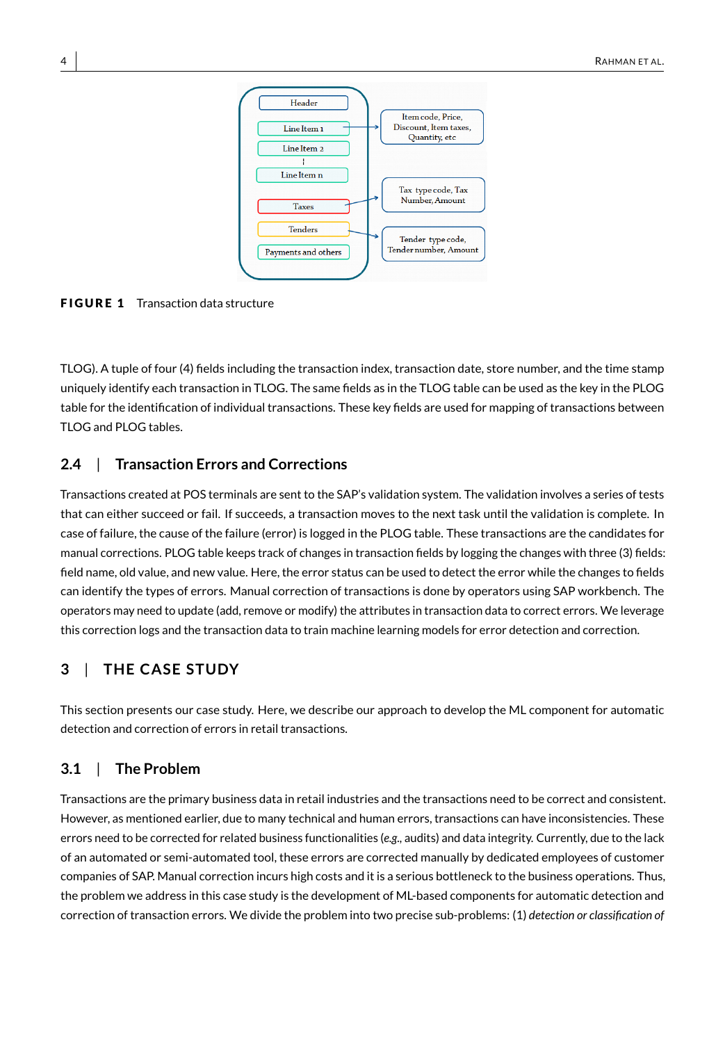<span id="page-3-1"></span>

**FIGURE 1** Transaction data structure

TLOG). A tuple of four (4) fields including the transaction index, transaction date, store number, and the time stamp uniquely identify each transaction in TLOG. The same fields as in the TLOG table can be used as the key in the PLOG table for the identification of individual transactions. These key fields are used for mapping of transactions between TLOG and PLOG tables.

# **2.4** | **Transaction Errors and Corrections**

Transactions created at POS terminals are sent to the SAP's validation system. The validation involves a series of tests that can either succeed or fail. If succeeds, a transaction moves to the next task until the validation is complete. In case of failure, the cause of the failure (error) is logged in the PLOG table. These transactions are the candidates for manual corrections. PLOG table keeps track of changes in transaction fields by logging the changes with three (3) fields: field name, old value, and new value. Here, the error status can be used to detect the error while the changes to fields can identify the types of errors. Manual correction of transactions is done by operators using SAP workbench. The operators may need to update (add, remove or modify) the attributes in transaction data to correct errors. We leverage this correction logs and the transaction data to train machine learning models for error detection and correction.

# <span id="page-3-0"></span>**3** | **THE CASE STUDY**

This section presents our case study. Here, we describe our approach to develop the ML component for automatic detection and correction of errors in retail transactions.

# **3.1** | **The Problem**

Transactions are the primary business data in retail industries and the transactions need to be correct and consistent. However, as mentioned earlier, due to many technical and human errors, transactions can have inconsistencies. These errors need to be corrected for related business functionalities (*e.g.,* audits) and data integrity. Currently, due to the lack of an automated or semi-automated tool, these errors are corrected manually by dedicated employees of customer companies of SAP. Manual correction incurs high costs and it is a serious bottleneck to the business operations. Thus, the problem we address in this case study is the development of ML-based components for automatic detection and correction of transaction errors. We divide the problem into two precise sub-problems: (1) *detection or classification of*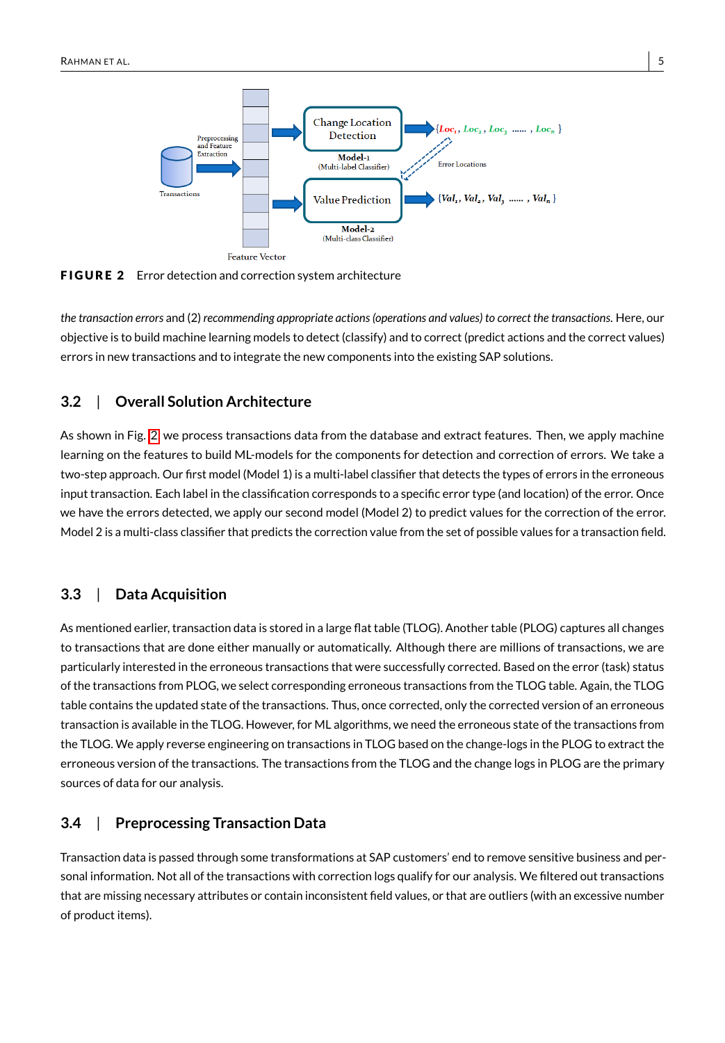<span id="page-4-0"></span>

FIGURE 2 Error detection and correction system architecture

*the transaction errors* and (2) *recommending appropriate actions (operations and values) to correct the transactions*. Here, our objective is to build machine learning models to detect (classify) and to correct (predict actions and the correct values) errors in new transactions and to integrate the new components into the existing SAP solutions.

# **3.2** | **Overall Solution Architecture**

As shown in Fig. [2,](#page-4-0) we process transactions data from the database and extract features. Then, we apply machine learning on the features to build ML-models for the components for detection and correction of errors. We take a two-step approach. Our first model (Model 1) is a multi-label classifier that detects the types of errors in the erroneous input transaction. Each label in the classification corresponds to a specific error type (and location) of the error. Once we have the errors detected, we apply our second model (Model 2) to predict values for the correction of the error. Model 2 is a multi-class classifier that predicts the correction value from the set of possible values for a transaction field.

# **3.3** | **Data Acquisition**

As mentioned earlier, transaction data is stored in a large flat table (TLOG). Another table (PLOG) captures all changes to transactions that are done either manually or automatically. Although there are millions of transactions, we are particularly interested in the erroneous transactions that were successfully corrected. Based on the error (task) status of the transactions from PLOG, we select corresponding erroneous transactions from the TLOG table. Again, the TLOG table contains the updated state of the transactions. Thus, once corrected, only the corrected version of an erroneous transaction is available in the TLOG. However, for ML algorithms, we need the erroneous state of the transactions from the TLOG. We apply reverse engineering on transactions in TLOG based on the change-logs in the PLOG to extract the erroneous version of the transactions. The transactions from the TLOG and the change logs in PLOG are the primary sources of data for our analysis.

# **3.4** | **Preprocessing Transaction Data**

Transaction data is passed through some transformations at SAP customers' end to remove sensitive business and personal information. Not all of the transactions with correction logs qualify for our analysis. We filtered out transactions that are missing necessary attributes or contain inconsistent field values, or that are outliers (with an excessive number of product items).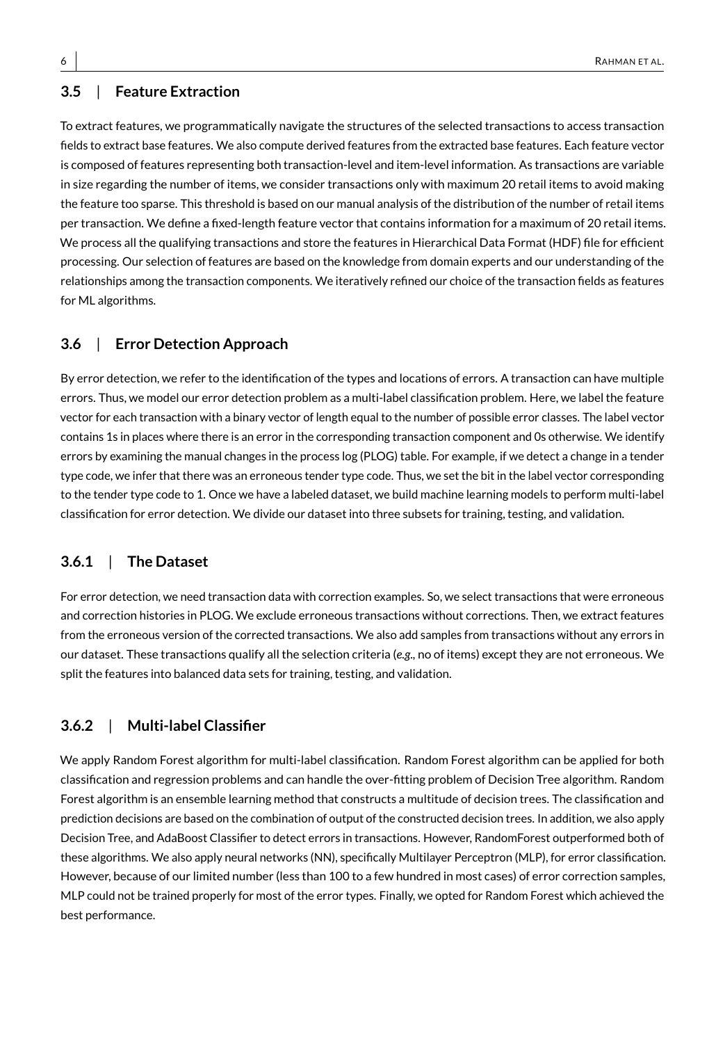# **3.5** | **Feature Extraction**

To extract features, we programmatically navigate the structures of the selected transactions to access transaction fields to extract base features. We also compute derived features from the extracted base features. Each feature vector is composed of features representing both transaction-level and item-level information. As transactions are variable in size regarding the number of items, we consider transactions only with maximum 20 retail items to avoid making the feature too sparse. This threshold is based on our manual analysis of the distribution of the number of retail items per transaction. We define a fixed-length feature vector that contains information for a maximum of 20 retail items. We process all the qualifying transactions and store the features in Hierarchical Data Format (HDF) file for efficient processing. Our selection of features are based on the knowledge from domain experts and our understanding of the relationships among the transaction components. We iteratively refined our choice of the transaction fields as features for ML algorithms.

# **3.6** | **Error Detection Approach**

By error detection, we refer to the identification of the types and locations of errors. A transaction can have multiple errors. Thus, we model our error detection problem as a multi-label classification problem. Here, we label the feature vector for each transaction with a binary vector of length equal to the number of possible error classes. The label vector contains 1s in places where there is an error in the corresponding transaction component and 0s otherwise. We identify errors by examining the manual changes in the process log (PLOG) table. For example, if we detect a change in a tender type code, we infer that there was an erroneous tender type code. Thus, we set the bit in the label vector corresponding to the tender type code to 1. Once we have a labeled dataset, we build machine learning models to perform multi-label classification for error detection. We divide our dataset into three subsets for training, testing, and validation.

# **3.6.1** | **The Dataset**

For error detection, we need transaction data with correction examples. So, we select transactions that were erroneous and correction histories in PLOG. We exclude erroneous transactions without corrections. Then, we extract features from the erroneous version of the corrected transactions. We also add samples from transactions without any errors in our dataset. These transactions qualify all the selection criteria (*e.g.,* no of items) except they are not erroneous. We split the features into balanced data sets for training, testing, and validation.

# **3.6.2** | **Multi-label Classifier**

We apply Random Forest algorithm for multi-label classification. Random Forest algorithm can be applied for both classification and regression problems and can handle the over-fitting problem of Decision Tree algorithm. Random Forest algorithm is an ensemble learning method that constructs a multitude of decision trees. The classification and prediction decisions are based on the combination of output of the constructed decision trees. In addition, we also apply Decision Tree, and AdaBoost Classifier to detect errors in transactions. However, RandomForest outperformed both of these algorithms. We also apply neural networks (NN), specifically Multilayer Perceptron (MLP), for error classification. However, because of our limited number (less than 100 to a few hundred in most cases) of error correction samples, MLP could not be trained properly for most of the error types. Finally, we opted for Random Forest which achieved the best performance.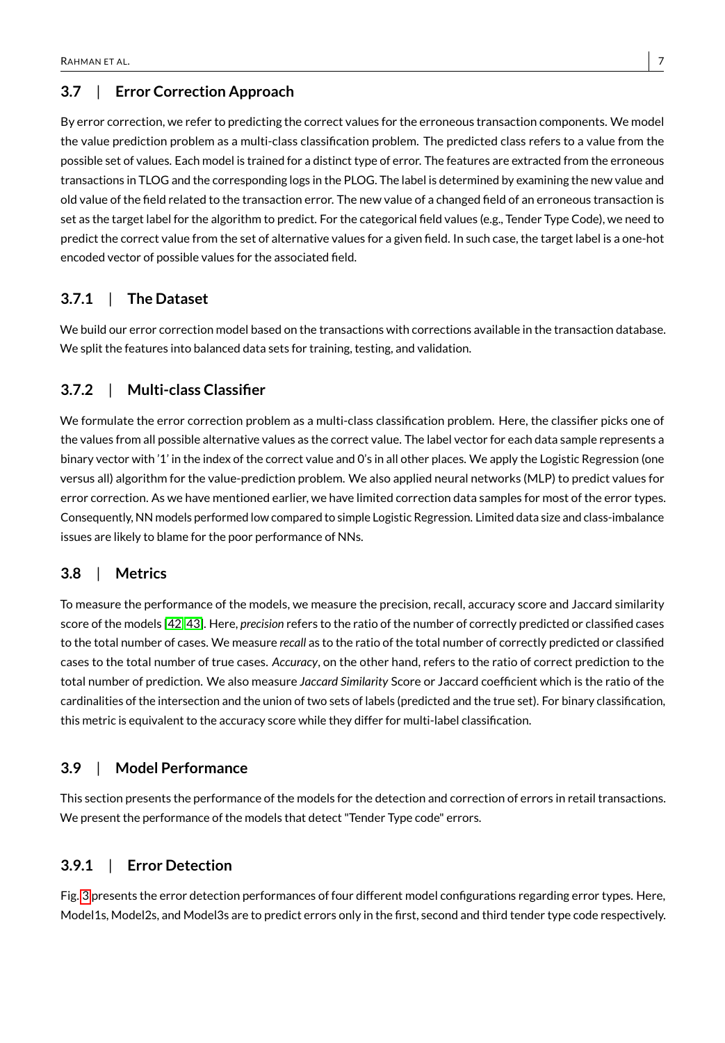# **3.7** | **Error Correction Approach**

By error correction, we refer to predicting the correct values for the erroneous transaction components. We model the value prediction problem as a multi-class classification problem. The predicted class refers to a value from the possible set of values. Each model is trained for a distinct type of error. The features are extracted from the erroneous transactions in TLOG and the corresponding logs in the PLOG. The label is determined by examining the new value and old value of the field related to the transaction error. The new value of a changed field of an erroneous transaction is set as the target label for the algorithm to predict. For the categorical field values (e.g., Tender Type Code), we need to predict the correct value from the set of alternative values for a given field. In such case, the target label is a one-hot encoded vector of possible values for the associated field.

# **3.7.1** | **The Dataset**

We build our error correction model based on the transactions with corrections available in the transaction database. We split the features into balanced data sets for training, testing, and validation.

# **3.7.2** | **Multi-class Classifier**

We formulate the error correction problem as a multi-class classification problem. Here, the classifier picks one of the values from all possible alternative values as the correct value. The label vector for each data sample represents a binary vector with '1' in the index of the correct value and 0's in all other places. We apply the Logistic Regression (one versus all) algorithm for the value-prediction problem. We also applied neural networks (MLP) to predict values for error correction. As we have mentioned earlier, we have limited correction data samples for most of the error types. Consequently, NN models performed low compared to simple Logistic Regression. Limited data size and class-imbalance issues are likely to blame for the poor performance of NNs.

# **3.8** | **Metrics**

To measure the performance of the models, we measure the precision, recall, accuracy score and Jaccard similarity score of the models [\[42,](#page-20-1) [43\]](#page-20-2). Here, *precision* refers to the ratio of the number of correctly predicted or classified cases to the total number of cases. We measure *recall* as to the ratio of the total number of correctly predicted or classified cases to the total number of true cases. *Accuracy*, on the other hand, refers to the ratio of correct prediction to the total number of prediction. We also measure *Jaccard Similarity* Score or Jaccard coefficient which is the ratio of the cardinalities of the intersection and the union of two sets of labels (predicted and the true set). For binary classification, this metric is equivalent to the accuracy score while they differ for multi-label classification.

# **3.9** | **Model Performance**

This section presents the performance of the models for the detection and correction of errors in retail transactions. We present the performance of the models that detect "Tender Type code" errors.

# **3.9.1** | **Error Detection**

Fig. [3](#page-7-0) presents the error detection performances of four different model configurations regarding error types. Here, Model1s, Model2s, and Model3s are to predict errors only in the first, second and third tender type code respectively.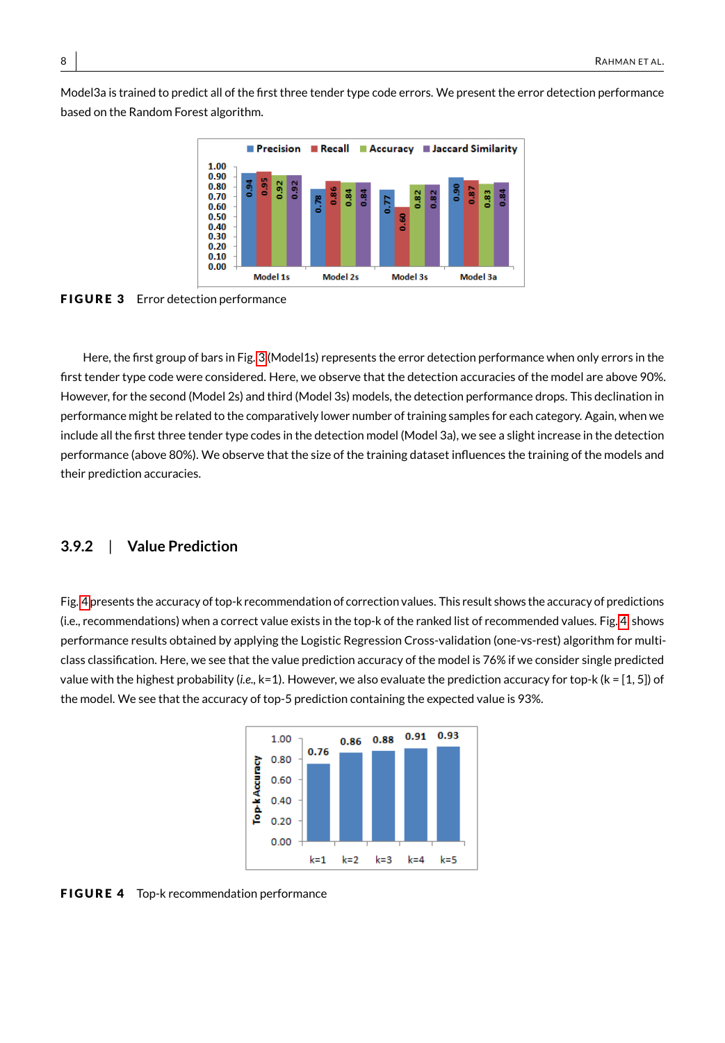<span id="page-7-0"></span>Model3a is trained to predict all of the first three tender type code errors. We present the error detection performance based on the Random Forest algorithm.



FIGURE 3 Error detection performance

Here, the first group of bars in Fig. [3](#page-7-0) (Model1s) represents the error detection performance when only errors in the first tender type code were considered. Here, we observe that the detection accuracies of the model are above 90%. However, for the second (Model 2s) and third (Model 3s) models, the detection performance drops. This declination in performance might be related to the comparatively lower number of training samples for each category. Again, when we include all the first three tender type codes in the detection model (Model 3a), we see a slight increase in the detection performance (above 80%). We observe that the size of the training dataset influences the training of the models and their prediction accuracies.

#### **3.9.2** | **Value Prediction**

<span id="page-7-1"></span>Fig. [4](#page-7-1) presents the accuracy of top-k recommendation of correction values. This result shows the accuracy of predictions (i.e., recommendations) when a correct value exists in the top-k of the ranked list of recommended values. Fig. [4,](#page-7-1) shows performance results obtained by applying the Logistic Regression Cross-validation (one-vs-rest) algorithm for multiclass classification. Here, we see that the value prediction accuracy of the model is 76% if we consider single predicted value with the highest probability (*i.e.,* k=1). However, we also evaluate the prediction accuracy for top-k (k = [1, 5]) of the model. We see that the accuracy of top-5 prediction containing the expected value is 93%.



FIGURE 4 Top-k recommendation performance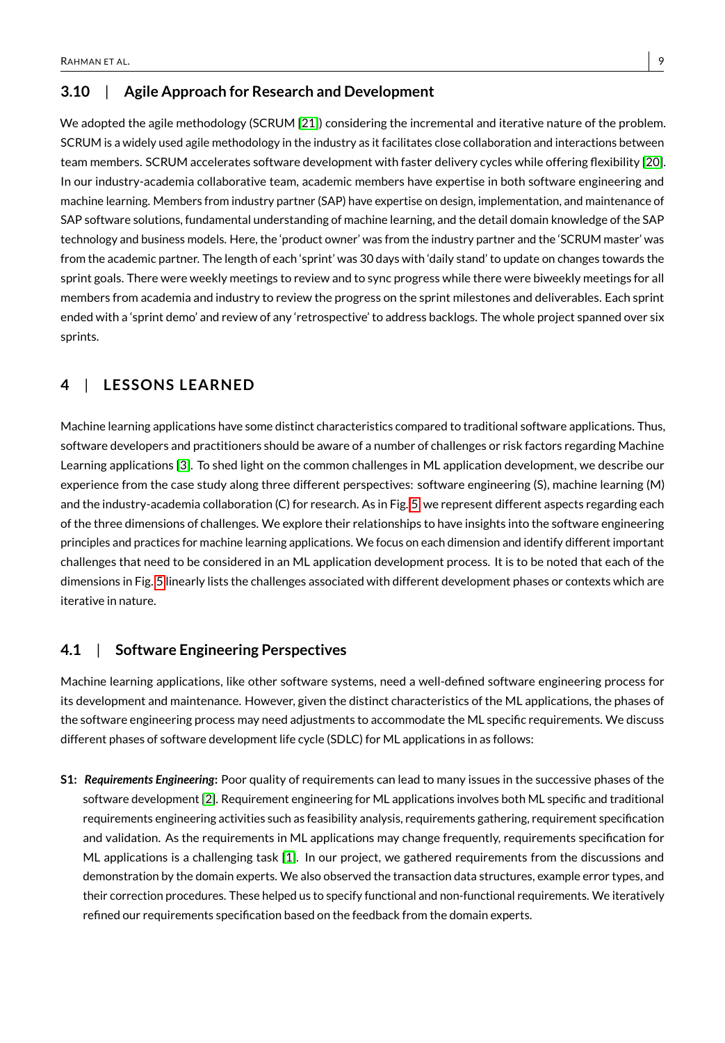# **3.10** | **Agile Approach for Research and Development**

We adopted the agile methodology (SCRUM [\[21\]](#page-19-4)) considering the incremental and iterative nature of the problem. SCRUM is a widely used agile methodology in the industry as it facilitates close collaboration and interactions between team members. SCRUM accelerates software development with faster delivery cycles while offering flexibility [\[20\]](#page-19-3). In our industry-academia collaborative team, academic members have expertise in both software engineering and machine learning. Members from industry partner (SAP) have expertise on design, implementation, and maintenance of SAP software solutions, fundamental understanding of machine learning, and the detail domain knowledge of the SAP technology and business models. Here, the 'product owner' was from the industry partner and the 'SCRUM master' was from the academic partner. The length of each 'sprint' was 30 days with 'daily stand' to update on changes towards the sprint goals. There were weekly meetings to review and to sync progress while there were biweekly meetings for all members from academia and industry to review the progress on the sprint milestones and deliverables. Each sprint ended with a 'sprint demo' and review of any 'retrospective' to address backlogs. The whole project spanned over six sprints.

# <span id="page-8-0"></span>**4** | **LESSONS LEARNED**

Machine learning applications have some distinct characteristics compared to traditional software applications. Thus, software developers and practitioners should be aware of a number of challenges or risk factors regarding Machine Learning applications [\[3\]](#page-18-1). To shed light on the common challenges in ML application development, we describe our experience from the case study along three different perspectives: software engineering (S), machine learning (M) and the industry-academia collaboration (C) for research. As in Fig. [5,](#page-9-0) we represent different aspects regarding each of the three dimensions of challenges. We explore their relationships to have insights into the software engineering principles and practices for machine learning applications. We focus on each dimension and identify different important challenges that need to be considered in an ML application development process. It is to be noted that each of the dimensions in Fig. [5](#page-9-0) linearly lists the challenges associated with different development phases or contexts which are iterative in nature.

#### <span id="page-8-1"></span>**4.1** | **Software Engineering Perspectives**

Machine learning applications, like other software systems, need a well-defined software engineering process for its development and maintenance. However, given the distinct characteristics of the ML applications, the phases of the software engineering process may need adjustments to accommodate the ML specific requirements. We discuss different phases of software development life cycle (SDLC) for ML applications in as follows:

**S1:** *Requirements Engineering***:** Poor quality of requirements can lead to many issues in the successive phases of the software development [\[2\]](#page-18-2). Requirement engineering for ML applications involves both ML specific and traditional requirements engineering activities such as feasibility analysis, requirements gathering, requirement specification and validation. As the requirements in ML applications may change frequently, requirements specification for ML applications is a challenging task [\[1\]](#page-18-3). In our project, we gathered requirements from the discussions and demonstration by the domain experts. We also observed the transaction data structures, example error types, and their correction procedures. These helped us to specify functional and non-functional requirements. We iteratively refined our requirements specification based on the feedback from the domain experts.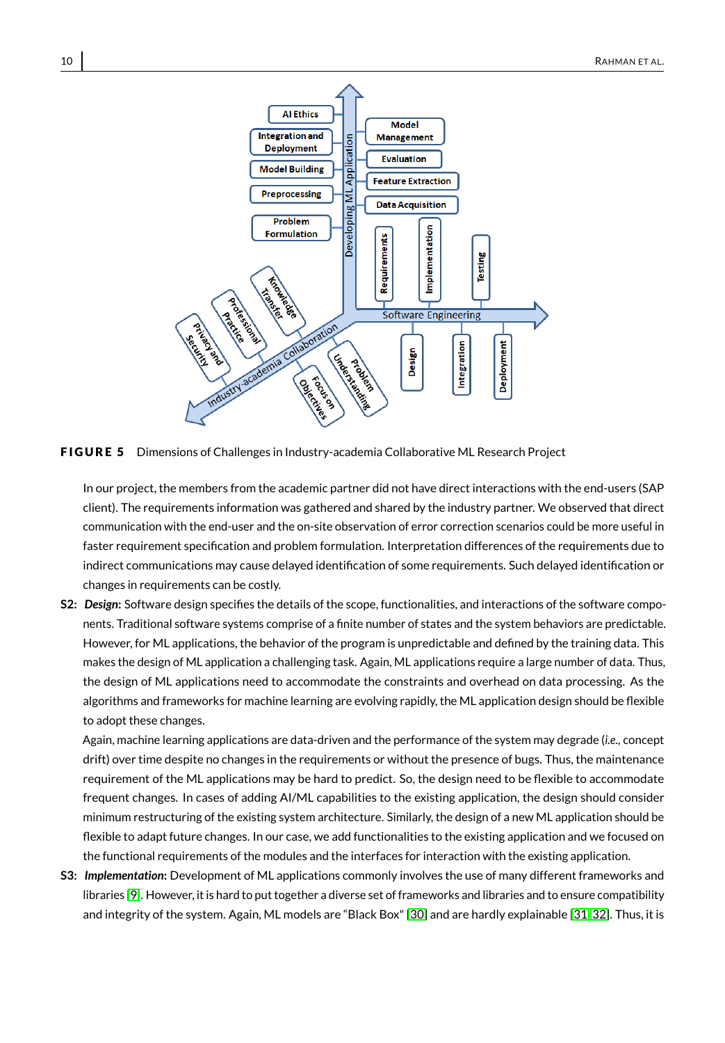<span id="page-9-0"></span>

FIGURE 5 Dimensions of Challenges in Industry-academia Collaborative ML Research Project

In our project, the members from the academic partner did not have direct interactions with the end-users (SAP client). The requirements information was gathered and shared by the industry partner. We observed that direct communication with the end-user and the on-site observation of error correction scenarios could be more useful in faster requirement specification and problem formulation. Interpretation differences of the requirements due to indirect communications may cause delayed identification of some requirements. Such delayed identification or changes in requirements can be costly.

**S2:** *Design***:** Software design specifies the details of the scope, functionalities, and interactions of the software components. Traditional software systems comprise of a finite number of states and the system behaviors are predictable. However, for ML applications, the behavior of the program is unpredictable and defined by the training data. This makes the design of ML application a challenging task. Again, ML applications require a large number of data. Thus, the design of ML applications need to accommodate the constraints and overhead on data processing. As the algorithms and frameworks for machine learning are evolving rapidly, the ML application design should be flexible to adopt these changes.

Again, machine learning applications are data-driven and the performance of the system may degrade (*i.e.,* concept drift) over time despite no changes in the requirements or without the presence of bugs. Thus, the maintenance requirement of the ML applications may be hard to predict. So, the design need to be flexible to accommodate frequent changes. In cases of adding AI/ML capabilities to the existing application, the design should consider minimum restructuring of the existing system architecture. Similarly, the design of a new ML application should be flexible to adapt future changes. In our case, we add functionalities to the existing application and we focused on the functional requirements of the modules and the interfaces for interaction with the existing application.

**S3:** *Implementation***:** Development of ML applications commonly involves the use of many different frameworks and libraries [\[9\]](#page-18-4). However, it is hard to put together a diverse set of frameworks and libraries and to ensure compatibility and integrity of the system. Again, ML models are "Black Box" [\[30\]](#page-19-5) and are hardly explainable [\[31,](#page-19-6) [32\]](#page-20-3). Thus, it is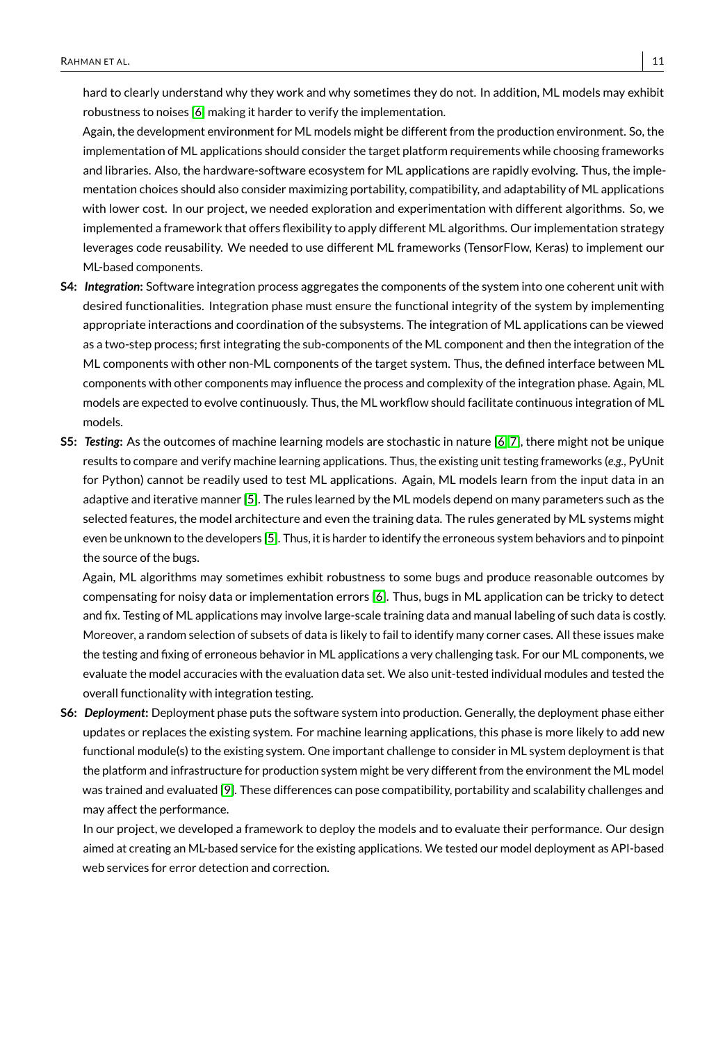hard to clearly understand why they work and why sometimes they do not. In addition, ML models may exhibit robustness to noises [\[6\]](#page-18-5) making it harder to verify the implementation.

Again, the development environment for ML models might be different from the production environment. So, the implementation of ML applications should consider the target platform requirements while choosing frameworks and libraries. Also, the hardware-software ecosystem for ML applications are rapidly evolving. Thus, the implementation choices should also consider maximizing portability, compatibility, and adaptability of ML applications with lower cost. In our project, we needed exploration and experimentation with different algorithms. So, we implemented a framework that offers flexibility to apply different ML algorithms. Our implementation strategy leverages code reusability. We needed to use different ML frameworks (TensorFlow, Keras) to implement our ML-based components.

- **S4:** *Integration***:** Software integration process aggregates the components of the system into one coherent unit with desired functionalities. Integration phase must ensure the functional integrity of the system by implementing appropriate interactions and coordination of the subsystems. The integration of ML applications can be viewed as a two-step process; first integrating the sub-components of the ML component and then the integration of the ML components with other non-ML components of the target system. Thus, the defined interface between ML components with other components may influence the process and complexity of the integration phase. Again, ML models are expected to evolve continuously. Thus, the ML workflow should facilitate continuous integration of ML models.
- **S5:** *Testing***:** As the outcomes of machine learning models are stochastic in nature [\[6,](#page-18-5) [7\]](#page-18-6), there might not be unique results to compare and verify machine learning applications. Thus, the existing unit testing frameworks (*e.g.,* PyUnit for Python) cannot be readily used to test ML applications. Again, ML models learn from the input data in an adaptive and iterative manner [\[5\]](#page-18-7). The rules learned by the ML models depend on many parameters such as the selected features, the model architecture and even the training data. The rules generated by ML systems might even be unknown to the developers [\[5\]](#page-18-7). Thus, it is harder to identify the erroneous system behaviors and to pinpoint the source of the bugs.

Again, ML algorithms may sometimes exhibit robustness to some bugs and produce reasonable outcomes by compensating for noisy data or implementation errors [\[6\]](#page-18-5). Thus, bugs in ML application can be tricky to detect and fix. Testing of ML applications may involve large-scale training data and manual labeling of such data is costly. Moreover, a random selection of subsets of data is likely to fail to identify many corner cases. All these issues make the testing and fixing of erroneous behavior in ML applications a very challenging task. For our ML components, we evaluate the model accuracies with the evaluation data set. We also unit-tested individual modules and tested the overall functionality with integration testing.

**S6:** *Deployment***:** Deployment phase puts the software system into production. Generally, the deployment phase either updates or replaces the existing system. For machine learning applications, this phase is more likely to add new functional module(s) to the existing system. One important challenge to consider in ML system deployment is that the platform and infrastructure for production system might be very different from the environment the ML model was trained and evaluated [\[9\]](#page-18-4). These differences can pose compatibility, portability and scalability challenges and may affect the performance.

In our project, we developed a framework to deploy the models and to evaluate their performance. Our design aimed at creating an ML-based service for the existing applications. We tested our model deployment as API-based web services for error detection and correction.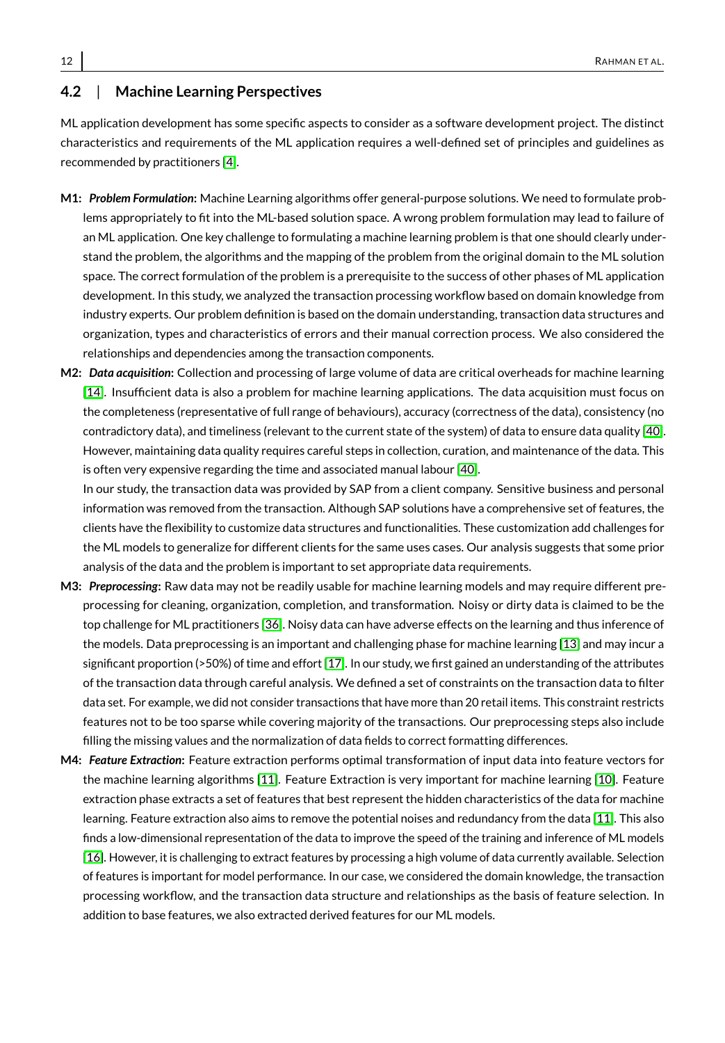#### <span id="page-11-0"></span>**4.2** | **Machine Learning Perspectives**

ML application development has some specific aspects to consider as a software development project. The distinct characteristics and requirements of the ML application requires a well-defined set of principles and guidelines as recommended by practitioners [\[4\]](#page-18-8).

- **M1:** *Problem Formulation***:** Machine Learning algorithms offer general-purpose solutions. We need to formulate problems appropriately to fit into the ML-based solution space. A wrong problem formulation may lead to failure of an ML application. One key challenge to formulating a machine learning problem is that one should clearly understand the problem, the algorithms and the mapping of the problem from the original domain to the ML solution space. The correct formulation of the problem is a prerequisite to the success of other phases of ML application development. In this study, we analyzed the transaction processing workflow based on domain knowledge from industry experts. Our problem definition is based on the domain understanding, transaction data structures and organization, types and characteristics of errors and their manual correction process. We also considered the relationships and dependencies among the transaction components.
- **M2:** *Data acquisition***:** Collection and processing of large volume of data are critical overheads for machine learning [\[14\]](#page-19-7). Insufficient data is also a problem for machine learning applications. The data acquisition must focus on the completeness (representative of full range of behaviours), accuracy (correctness of the data), consistency (no contradictory data), and timeliness (relevant to the current state of the system) of data to ensure data quality [\[40\]](#page-20-4). However, maintaining data quality requires careful steps in collection, curation, and maintenance of the data. This is often very expensive regarding the time and associated manual labour [\[40\]](#page-20-4).

In our study, the transaction data was provided by SAP from a client company. Sensitive business and personal information was removed from the transaction. Although SAP solutions have a comprehensive set of features, the clients have the flexibility to customize data structures and functionalities. These customization add challenges for the ML models to generalize for different clients for the same uses cases. Our analysis suggests that some prior analysis of the data and the problem is important to set appropriate data requirements.

- **M3:** *Preprocessing***:** Raw data may not be readily usable for machine learning models and may require different preprocessing for cleaning, organization, completion, and transformation. Noisy or dirty data is claimed to be the top challenge for ML practitioners [\[36\]](#page-20-5). Noisy data can have adverse effects on the learning and thus inference of the models. Data preprocessing is an important and challenging phase for machine learning [\[13\]](#page-18-9) and may incur a significant proportion (>50%) of time and effort [\[17\]](#page-19-8). In our study, we first gained an understanding of the attributes of the transaction data through careful analysis. We defined a set of constraints on the transaction data to filter data set. For example, we did not consider transactions that have more than 20 retail items. This constraint restricts features not to be too sparse while covering majority of the transactions. Our preprocessing steps also include filling the missing values and the normalization of data fields to correct formatting differences.
- **M4:** *Feature Extraction***:** Feature extraction performs optimal transformation of input data into feature vectors for the machine learning algorithms [\[11\]](#page-18-10). Feature Extraction is very important for machine learning [\[10\]](#page-18-11). Feature extraction phase extracts a set of features that best represent the hidden characteristics of the data for machine learning. Feature extraction also aims to remove the potential noises and redundancy from the data [\[11\]](#page-18-10). This also finds a low-dimensional representation of the data to improve the speed of the training and inference of ML models [\[16\]](#page-19-9). However, it is challenging to extract features by processing a high volume of data currently available. Selection of features is important for model performance. In our case, we considered the domain knowledge, the transaction processing workflow, and the transaction data structure and relationships as the basis of feature selection. In addition to base features, we also extracted derived features for our ML models.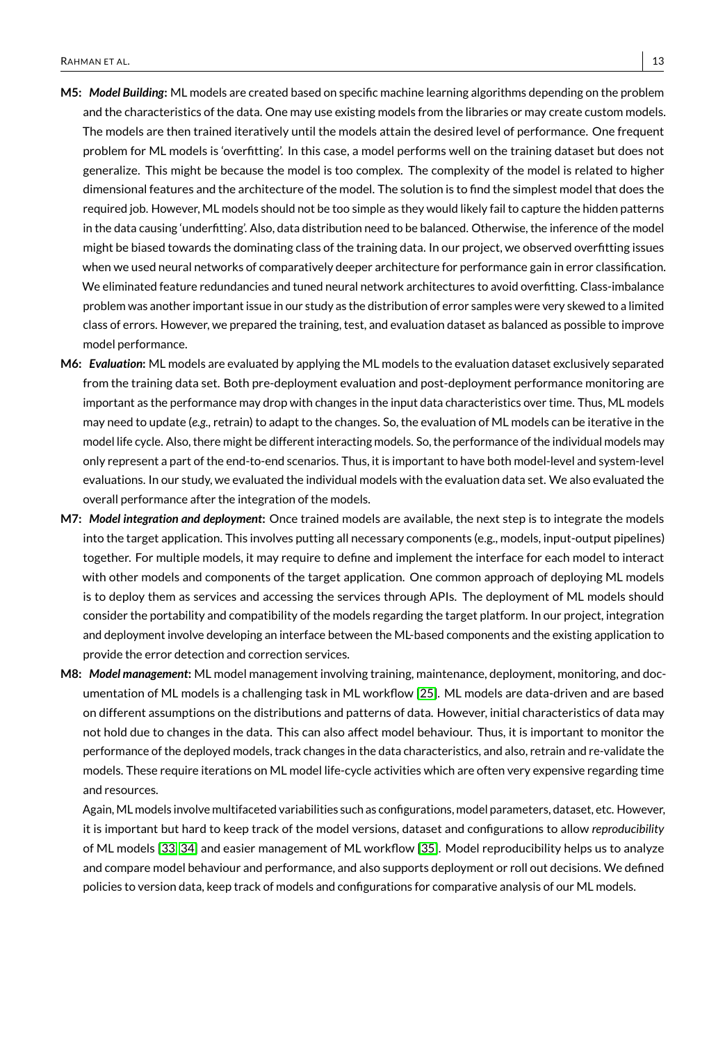- **M5:** *Model Building***:** ML models are created based on specific machine learning algorithms depending on the problem and the characteristics of the data. One may use existing models from the libraries or may create custom models. The models are then trained iteratively until the models attain the desired level of performance. One frequent problem for ML models is 'overfitting'. In this case, a model performs well on the training dataset but does not generalize. This might be because the model is too complex. The complexity of the model is related to higher dimensional features and the architecture of the model. The solution is to find the simplest model that does the required job. However, ML models should not be too simple as they would likely fail to capture the hidden patterns in the data causing 'underfitting'. Also, data distribution need to be balanced. Otherwise, the inference of the model might be biased towards the dominating class of the training data. In our project, we observed overfitting issues when we used neural networks of comparatively deeper architecture for performance gain in error classification. We eliminated feature redundancies and tuned neural network architectures to avoid overfitting. Class-imbalance problem was another important issue in our study as the distribution of error samples were very skewed to a limited class of errors. However, we prepared the training, test, and evaluation dataset as balanced as possible to improve model performance.
- **M6:** *Evaluation***:** ML models are evaluated by applying the ML models to the evaluation dataset exclusively separated from the training data set. Both pre-deployment evaluation and post-deployment performance monitoring are important as the performance may drop with changes in the input data characteristics over time. Thus, ML models may need to update (*e.g.,* retrain) to adapt to the changes. So, the evaluation of ML models can be iterative in the model life cycle. Also, there might be different interacting models. So, the performance of the individual models may only represent a part of the end-to-end scenarios. Thus, it is important to have both model-level and system-level evaluations. In our study, we evaluated the individual models with the evaluation data set. We also evaluated the overall performance after the integration of the models.
- **M7:** *Model integration and deployment***:** Once trained models are available, the next step is to integrate the models into the target application. This involves putting all necessary components (e.g., models, input-output pipelines) together. For multiple models, it may require to define and implement the interface for each model to interact with other models and components of the target application. One common approach of deploying ML models is to deploy them as services and accessing the services through APIs. The deployment of ML models should consider the portability and compatibility of the models regarding the target platform. In our project, integration and deployment involve developing an interface between the ML-based components and the existing application to provide the error detection and correction services.
- **M8:** *Model management***:** ML model management involving training, maintenance, deployment, monitoring, and documentation of ML models is a challenging task in ML workflow [\[25\]](#page-19-1). ML models are data-driven and are based on different assumptions on the distributions and patterns of data. However, initial characteristics of data may not hold due to changes in the data. This can also affect model behaviour. Thus, it is important to monitor the performance of the deployed models, track changes in the data characteristics, and also, retrain and re-validate the models. These require iterations on ML model life-cycle activities which are often very expensive regarding time and resources.

Again, ML models involve multifaceted variabilities such as configurations, model parameters, dataset, etc. However, it is important but hard to keep track of the model versions, dataset and configurations to allow *reproducibility* of ML models [\[33,](#page-20-6) [34\]](#page-20-7) and easier management of ML workflow [\[35\]](#page-20-8). Model reproducibility helps us to analyze and compare model behaviour and performance, and also supports deployment or roll out decisions. We defined policies to version data, keep track of models and configurations for comparative analysis of our ML models.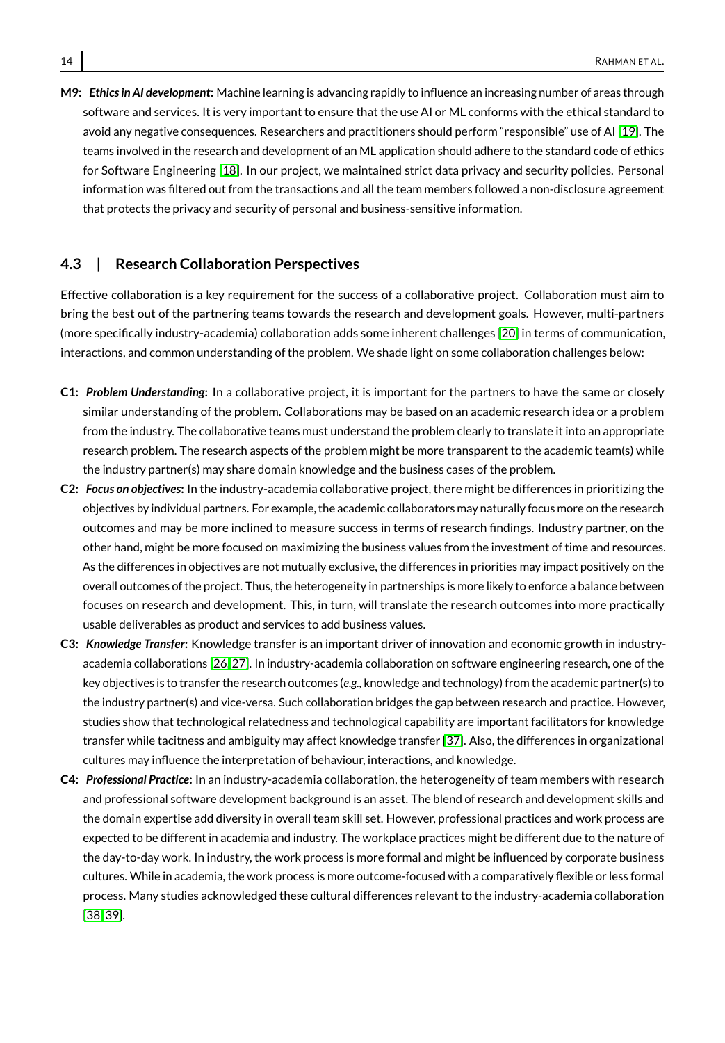**M9:** *Ethics in AI development***:** Machine learning is advancing rapidly to influence an increasing number of areas through software and services. It is very important to ensure that the use AI or ML conforms with the ethical standard to avoid any negative consequences. Researchers and practitioners should perform "responsible" use of AI [\[19\]](#page-19-10). The teams involved in the research and development of an ML application should adhere to the standard code of ethics for Software Engineering [\[18\]](#page-19-11). In our project, we maintained strict data privacy and security policies. Personal information was filtered out from the transactions and all the team members followed a non-disclosure agreement that protects the privacy and security of personal and business-sensitive information.

#### <span id="page-13-0"></span>**4.3** | **Research Collaboration Perspectives**

Effective collaboration is a key requirement for the success of a collaborative project. Collaboration must aim to bring the best out of the partnering teams towards the research and development goals. However, multi-partners (more specifically industry-academia) collaboration adds some inherent challenges [\[20\]](#page-19-3) in terms of communication, interactions, and common understanding of the problem. We shade light on some collaboration challenges below:

- **C1:** *Problem Understanding***:** In a collaborative project, it is important for the partners to have the same or closely similar understanding of the problem. Collaborations may be based on an academic research idea or a problem from the industry. The collaborative teams must understand the problem clearly to translate it into an appropriate research problem. The research aspects of the problem might be more transparent to the academic team(s) while the industry partner(s) may share domain knowledge and the business cases of the problem.
- **C2:** *Focus on objectives***:** In the industry-academia collaborative project, there might be differences in prioritizing the objectives by individual partners. For example, the academic collaborators may naturally focus more on the research outcomes and may be more inclined to measure success in terms of research findings. Industry partner, on the other hand, might be more focused on maximizing the business values from the investment of time and resources. As the differences in objectives are not mutually exclusive, the differences in priorities may impact positively on the overall outcomes of the project. Thus, the heterogeneity in partnerships is more likely to enforce a balance between focuses on research and development. This, in turn, will translate the research outcomes into more practically usable deliverables as product and services to add business values.
- **C3:** *Knowledge Transfer***:** Knowledge transfer is an important driver of innovation and economic growth in industryacademia collaborations [\[26,](#page-19-12) [27\]](#page-19-13). In industry-academia collaboration on software engineering research, one of the key objectives is to transfer the research outcomes (*e.g.,* knowledge and technology) from the academic partner(s) to the industry partner(s) and vice-versa. Such collaboration bridges the gap between research and practice. However, studies show that technological relatedness and technological capability are important facilitators for knowledge transfer while tacitness and ambiguity may affect knowledge transfer [\[37\]](#page-20-9). Also, the differences in organizational cultures may influence the interpretation of behaviour, interactions, and knowledge.
- **C4:** *Professional Practice***:** In an industry-academia collaboration, the heterogeneity of team members with research and professional software development background is an asset. The blend of research and development skills and the domain expertise add diversity in overall team skill set. However, professional practices and work process are expected to be different in academia and industry. The workplace practices might be different due to the nature of the day-to-day work. In industry, the work process is more formal and might be influenced by corporate business cultures. While in academia, the work process is more outcome-focused with a comparatively flexible or less formal process. Many studies acknowledged these cultural differences relevant to the industry-academia collaboration [\[38,](#page-20-10) [39\]](#page-20-11).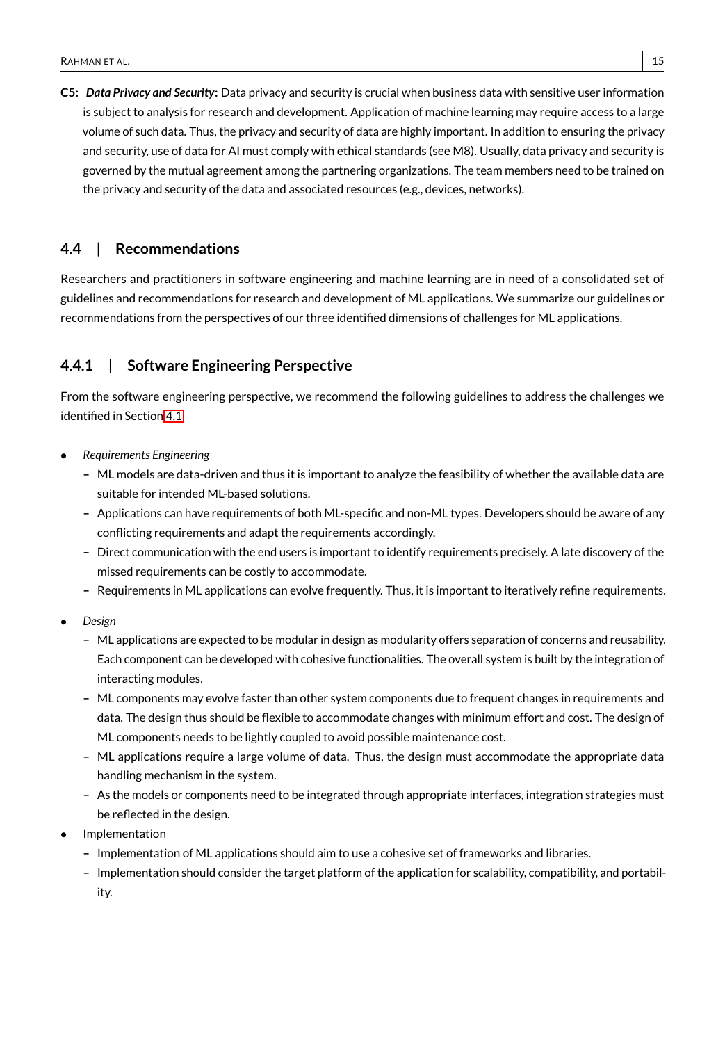**C5:** *Data Privacy and Security***:** Data privacy and security is crucial when business data with sensitive user information is subject to analysis for research and development. Application of machine learning may require access to a large volume of such data. Thus, the privacy and security of data are highly important. In addition to ensuring the privacy and security, use of data for AI must comply with ethical standards (see M8). Usually, data privacy and security is governed by the mutual agreement among the partnering organizations. The team members need to be trained on the privacy and security of the data and associated resources (e.g., devices, networks).

#### **4.4** | **Recommendations**

Researchers and practitioners in software engineering and machine learning are in need of a consolidated set of guidelines and recommendations for research and development of ML applications. We summarize our guidelines or recommendations from the perspectives of our three identified dimensions of challenges for ML applications.

# **4.4.1** | **Software Engineering Perspective**

From the software engineering perspective, we recommend the following guidelines to address the challenges we identified in Section [4.1.](#page-8-1)

- *Requirements Engineering*
	- **–** ML models are data-driven and thus it is important to analyze the feasibility of whether the available data are suitable for intended ML-based solutions.
	- **–** Applications can have requirements of both ML-specific and non-ML types. Developers should be aware of any conflicting requirements and adapt the requirements accordingly.
	- **–** Direct communication with the end users is important to identify requirements precisely. A late discovery of the missed requirements can be costly to accommodate.
	- **–** Requirements in ML applications can evolve frequently. Thus, it is important to iteratively refine requirements.
- *Design*
	- **–** ML applications are expected to be modular in design as modularity offers separation of concerns and reusability. Each component can be developed with cohesive functionalities. The overall system is built by the integration of interacting modules.
	- **–** ML components may evolve faster than other system components due to frequent changes in requirements and data. The design thus should be flexible to accommodate changes with minimum effort and cost. The design of ML components needs to be lightly coupled to avoid possible maintenance cost.
	- **–** ML applications require a large volume of data. Thus, the design must accommodate the appropriate data handling mechanism in the system.
	- **–** As the models or components need to be integrated through appropriate interfaces, integration strategies must be reflected in the design.
- **Implementation** 
	- **–** Implementation of ML applications should aim to use a cohesive set of frameworks and libraries.
	- **–** Implementation should consider the target platform of the application for scalability, compatibility, and portability.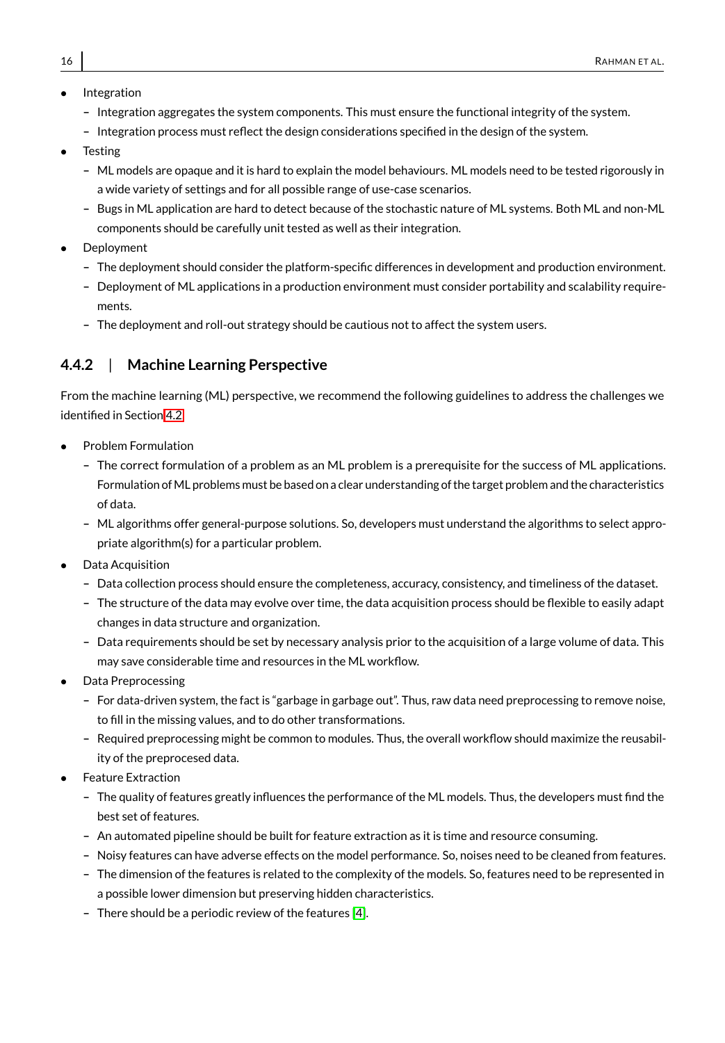- **Integration** 
	- **–** Integration aggregates the system components. This must ensure the functional integrity of the system.
	- **–** Integration process must reflect the design considerations specified in the design of the system.
- **Testing** 
	- **–** ML models are opaque and it is hard to explain the model behaviours. ML models need to be tested rigorously in a wide variety of settings and for all possible range of use-case scenarios.
	- **–** Bugs in ML application are hard to detect because of the stochastic nature of ML systems. Both ML and non-ML components should be carefully unit tested as well as their integration.
- **Deployment** 
	- **–** The deployment should consider the platform-specific differences in development and production environment.
	- **–** Deployment of ML applications in a production environment must consider portability and scalability requirements.
	- **–** The deployment and roll-out strategy should be cautious not to affect the system users.

# **4.4.2** | **Machine Learning Perspective**

From the machine learning (ML) perspective, we recommend the following guidelines to address the challenges we identified in Section [4.2.](#page-11-0)

- Problem Formulation
	- **–** The correct formulation of a problem as an ML problem is a prerequisite for the success of ML applications. Formulation ofML problems must be based on a clear understanding of the target problem and the characteristics of data.
	- **–** ML algorithms offer general-purpose solutions. So, developers must understand the algorithms to select appropriate algorithm(s) for a particular problem.
- Data Acquisition
	- **–** Data collection process should ensure the completeness, accuracy, consistency, and timeliness of the dataset.
	- **–** The structure of the data may evolve over time, the data acquisition process should be flexible to easily adapt changes in data structure and organization.
	- **–** Data requirements should be set by necessary analysis prior to the acquisition of a large volume of data. This may save considerable time and resources in the ML workflow.
- Data Preprocessing
	- **–** For data-driven system, the fact is "garbage in garbage out". Thus, raw data need preprocessing to remove noise, to fill in the missing values, and to do other transformations.
	- **–** Required preprocessing might be common to modules. Thus, the overall workflow should maximize the reusability of the preprocesed data.
- **Feature Extraction** 
	- **–** The quality of features greatly influences the performance of the ML models. Thus, the developers must find the best set of features.
	- **–** An automated pipeline should be built for feature extraction as it is time and resource consuming.
	- **–** Noisy features can have adverse effects on the model performance. So, noises need to be cleaned from features.
	- **–** The dimension of the features is related to the complexity of the models. So, features need to be represented in a possible lower dimension but preserving hidden characteristics.
	- **–** There should be a periodic review of the features [\[4\]](#page-18-8).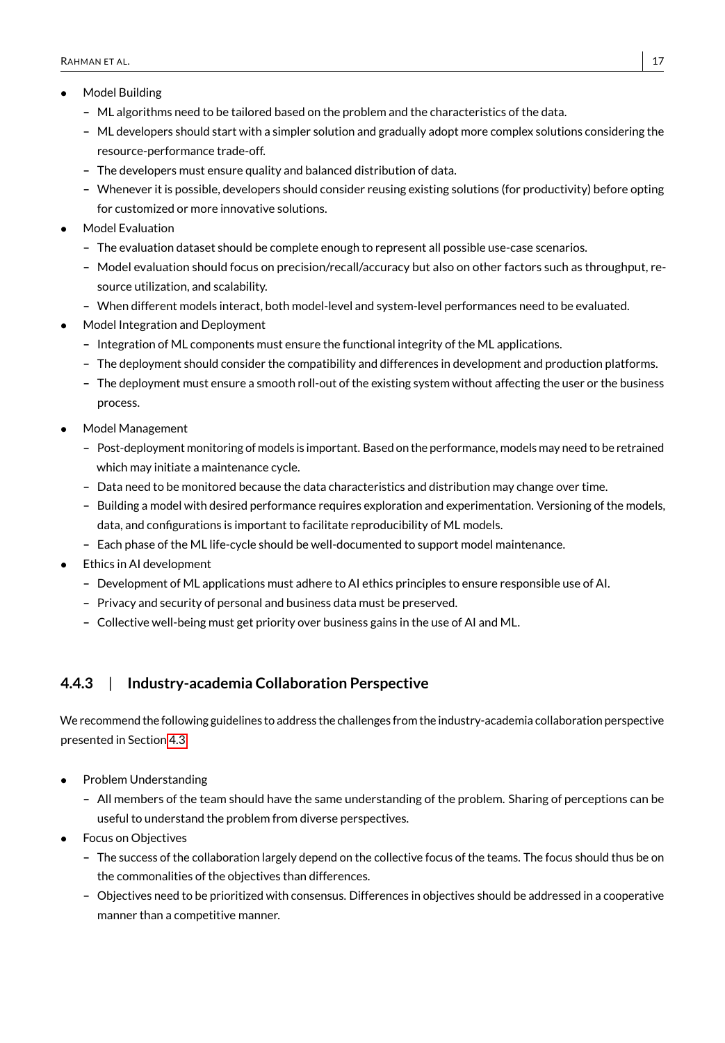- Model Building
	- **–** ML algorithms need to be tailored based on the problem and the characteristics of the data.
	- **–** ML developers should start with a simpler solution and gradually adopt more complex solutions considering the resource-performance trade-off.
	- **–** The developers must ensure quality and balanced distribution of data.
	- **–** Whenever it is possible, developers should consider reusing existing solutions (for productivity) before opting for customized or more innovative solutions.
- Model Evaluation
	- **–** The evaluation dataset should be complete enough to represent all possible use-case scenarios.
	- **–** Model evaluation should focus on precision/recall/accuracy but also on other factors such as throughput, resource utilization, and scalability.
	- **–** When different models interact, both model-level and system-level performances need to be evaluated.
- Model Integration and Deployment
	- **–** Integration of ML components must ensure the functional integrity of the ML applications.
	- **–** The deployment should consider the compatibility and differences in development and production platforms.
	- **–** The deployment must ensure a smooth roll-out of the existing system without affecting the user or the business process.
- Model Management
	- **–** Post-deployment monitoring of models is important. Based on the performance, models may need to be retrained which may initiate a maintenance cycle.
	- **–** Data need to be monitored because the data characteristics and distribution may change over time.
	- **–** Building a model with desired performance requires exploration and experimentation. Versioning of the models, data, and configurations is important to facilitate reproducibility of ML models.
	- **–** Each phase of the ML life-cycle should be well-documented to support model maintenance.
- Ethics in AI development
	- **–** Development of ML applications must adhere to AI ethics principles to ensure responsible use of AI.
	- **–** Privacy and security of personal and business data must be preserved.
	- **–** Collective well-being must get priority over business gains in the use of AI and ML.

# **4.4.3** | **Industry-academia Collaboration Perspective**

We recommend the following guidelines to address the challenges from the industry-academia collaboration perspective presented in Section [4.3:](#page-13-0)

- Problem Understanding
	- **–** All members of the team should have the same understanding of the problem. Sharing of perceptions can be useful to understand the problem from diverse perspectives.
- Focus on Objectives
	- **–** The success of the collaboration largely depend on the collective focus of the teams. The focus should thus be on the commonalities of the objectives than differences.
	- **–** Objectives need to be prioritized with consensus. Differences in objectives should be addressed in a cooperative manner than a competitive manner.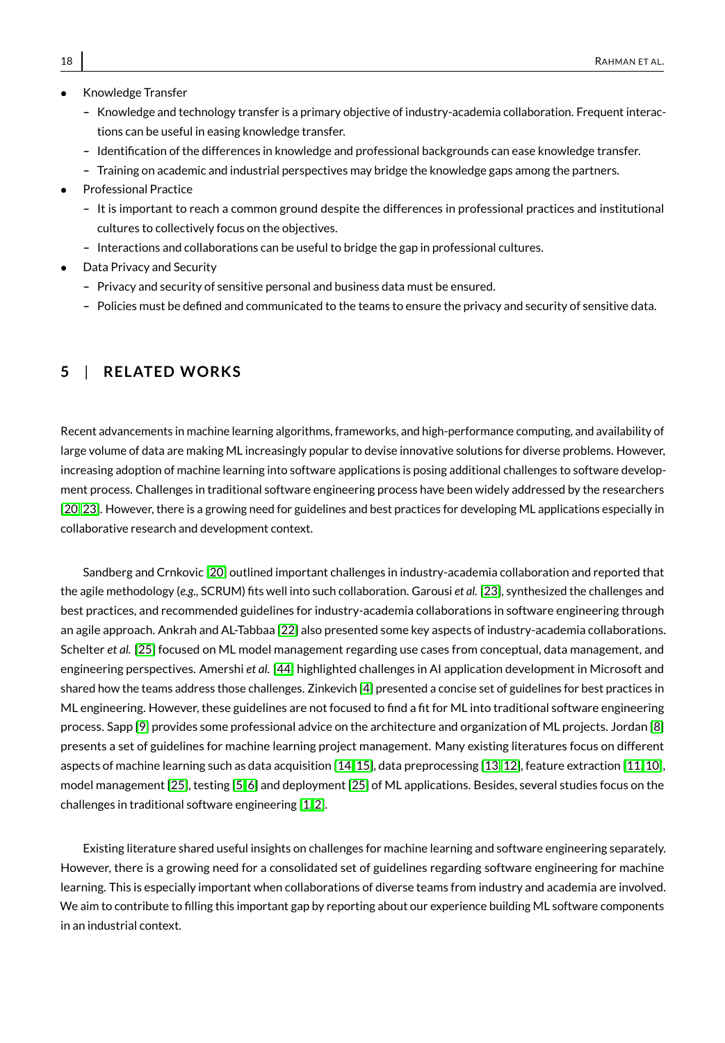- Knowledge Transfer
	- **–** Knowledge and technology transfer is a primary objective of industry-academia collaboration. Frequent interactions can be useful in easing knowledge transfer.
	- **–** Identification of the differences in knowledge and professional backgrounds can ease knowledge transfer.
	- **–** Training on academic and industrial perspectives may bridge the knowledge gaps among the partners.
- Professional Practice
	- **–** It is important to reach a common ground despite the differences in professional practices and institutional cultures to collectively focus on the objectives.
	- **–** Interactions and collaborations can be useful to bridge the gap in professional cultures.
- Data Privacy and Security
	- **–** Privacy and security of sensitive personal and business data must be ensured.
	- **–** Policies must be defined and communicated to the teams to ensure the privacy and security of sensitive data.

# <span id="page-17-0"></span>**5** | **RELATED WORKS**

Recent advancements in machine learning algorithms, frameworks, and high-performance computing, and availability of large volume of data are making ML increasingly popular to devise innovative solutions for diverse problems. However, increasing adoption of machine learning into software applications is posing additional challenges to software development process. Challenges in traditional software engineering process have been widely addressed by the researchers [\[20,](#page-19-3) [23\]](#page-19-2). However, there is a growing need for guidelines and best practices for developing ML applications especially in collaborative research and development context.

Sandberg and Crnkovic [\[20\]](#page-19-3) outlined important challenges in industry-academia collaboration and reported that the agile methodology (*e.g.,* SCRUM) fits well into such collaboration. Garousi *et al.* [\[23\]](#page-19-2), synthesized the challenges and best practices, and recommended guidelines for industry-academia collaborations in software engineering through an agile approach. Ankrah and AL-Tabbaa [\[22\]](#page-19-14) also presented some key aspects of industry-academia collaborations. Schelter *et al.* [\[25\]](#page-19-1) focused on ML model management regarding use cases from conceptual, data management, and engineering perspectives. Amershi *et al.* [\[44\]](#page-20-0) highlighted challenges in AI application development in Microsoft and shared how the teams address those challenges. Zinkevich [\[4\]](#page-18-8) presented a concise set of guidelines for best practices in ML engineering. However, these guidelines are not focused to find a fit for ML into traditional software engineering process. Sapp [\[9\]](#page-18-4) provides some professional advice on the architecture and organization of ML projects. Jordan [\[8\]](#page-18-12) presents a set of guidelines for machine learning project management. Many existing literatures focus on different aspects of machine learning such as data acquisition [\[14,](#page-19-7) [15\]](#page-19-15), data preprocessing [\[13,](#page-18-9) [12\]](#page-18-13), feature extraction [\[11,](#page-18-10) [10\]](#page-18-11), model management [\[25\]](#page-19-1), testing [\[5,](#page-18-7) [6\]](#page-18-5) and deployment [\[25\]](#page-19-1) of ML applications. Besides, several studies focus on the challenges in traditional software engineering [\[1,](#page-18-3) [2\]](#page-18-2).

Existing literature shared useful insights on challenges for machine learning and software engineering separately. However, there is a growing need for a consolidated set of guidelines regarding software engineering for machine learning. This is especially important when collaborations of diverse teams from industry and academia are involved. We aim to contribute to filling this important gap by reporting about our experience building ML software components in an industrial context.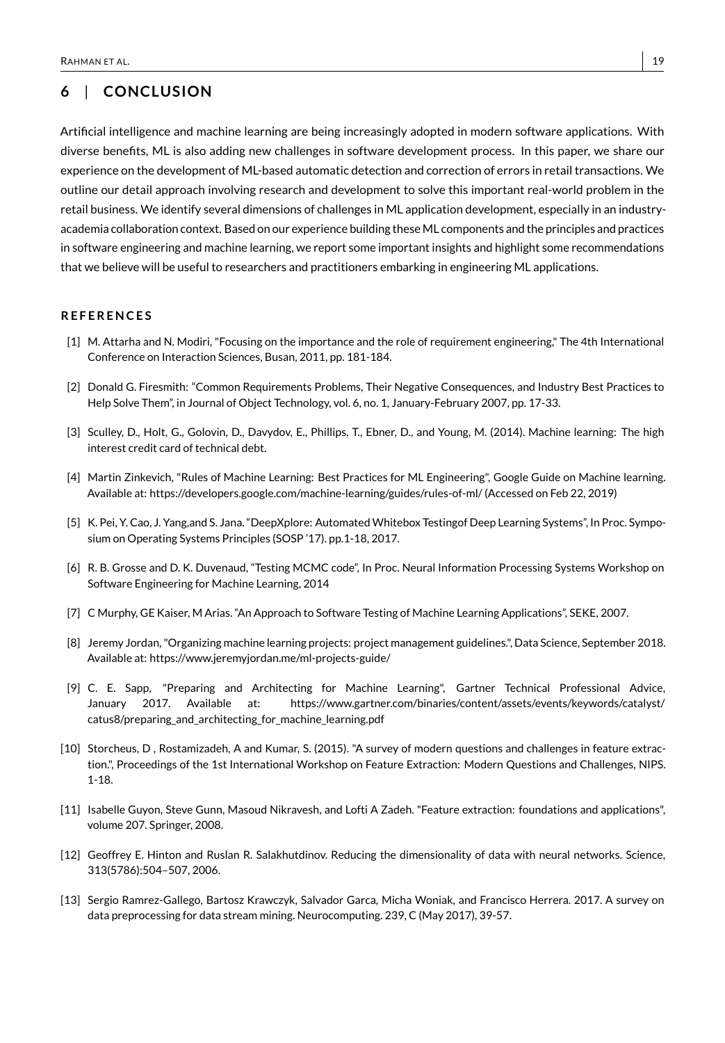# <span id="page-18-0"></span>**6** | **CONCLUS ION**

Artificial intelligence and machine learning are being increasingly adopted in modern software applications. With diverse benefits, ML is also adding new challenges in software development process. In this paper, we share our experience on the development of ML-based automatic detection and correction of errors in retail transactions. We outline our detail approach involving research and development to solve this important real-world problem in the retail business. We identify several dimensions of challenges in ML application development, especially in an industryacademia collaboration context. Based on our experience building these ML components and the principles and practices in software engineering and machine learning, we report some important insights and highlight some recommendations that we believe will be useful to researchers and practitioners embarking in engineering ML applications.

#### **R E F E R E N C E S**

- <span id="page-18-3"></span>[1] M. Attarha and N. Modiri, "Focusing on the importance and the role of requirement engineering," The 4th International Conference on Interaction Sciences, Busan, 2011, pp. 181-184.
- <span id="page-18-2"></span>[2] Donald G. Firesmith: "Common Requirements Problems, Their Negative Consequences, and Industry Best Practices to Help Solve Them", in Journal of Object Technology, vol. 6, no. 1, January-February 2007, pp. 17-33.
- <span id="page-18-1"></span>[3] Sculley, D., Holt, G., Golovin, D., Davydov, E., Phillips, T., Ebner, D., and Young, M. (2014). Machine learning: The high interest credit card of technical debt.
- <span id="page-18-8"></span>[4] Martin Zinkevich, "Rules of Machine Learning: Best Practices for ML Engineering", Google Guide on Machine learning. Available at: https://developers.google.com/machine-learning/guides/rules-of-ml/ (Accessed on Feb 22, 2019)
- <span id="page-18-7"></span>[5] K. Pei, Y. Cao, J. Yang,and S. Jana. "DeepXplore: Automated Whitebox Testingof Deep Learning Systems", In Proc. Symposium on Operating Systems Principles (SOSP '17). pp.1-18, 2017.
- <span id="page-18-5"></span>[6] R. B. Grosse and D. K. Duvenaud, "Testing MCMC code", In Proc. Neural Information Processing Systems Workshop on Software Engineering for Machine Learning, 2014
- <span id="page-18-6"></span>[7] C Murphy, GE Kaiser, M Arias. "An Approach to Software Testing of Machine Learning Applications", SEKE, 2007.
- <span id="page-18-12"></span>[8] Jeremy Jordan, "Organizing machine learning projects: project management guidelines.", Data Science, September 2018. Available at: https://www.jeremyjordan.me/ml-projects-guide/
- <span id="page-18-4"></span>[9] C. E. Sapp, "Preparing and Architecting for Machine Learning", Gartner Technical Professional Advice, January 2017. Available at: https://www.gartner.com/binaries/content/assets/events/keywords/catalyst/ catus8/preparing\_and\_architecting\_for\_machine\_learning.pdf
- <span id="page-18-11"></span>[10] Storcheus, D , Rostamizadeh, A and Kumar, S. (2015). "A survey of modern questions and challenges in feature extraction.", Proceedings of the 1st International Workshop on Feature Extraction: Modern Questions and Challenges, NIPS. 1-18.
- <span id="page-18-10"></span>[11] Isabelle Guyon, Steve Gunn, Masoud Nikravesh, and Lofti A Zadeh. "Feature extraction: foundations and applications", volume 207. Springer, 2008.
- <span id="page-18-13"></span>[12] Geoffrey E. Hinton and Ruslan R. Salakhutdinov. Reducing the dimensionality of data with neural networks. Science, 313(5786):504–507, 2006.
- <span id="page-18-9"></span>[13] Sergio Ramrez-Gallego, Bartosz Krawczyk, Salvador Garca, Micha Woniak, and Francisco Herrera. 2017. A survey on data preprocessing for data stream mining. Neurocomputing. 239, C (May 2017), 39-57.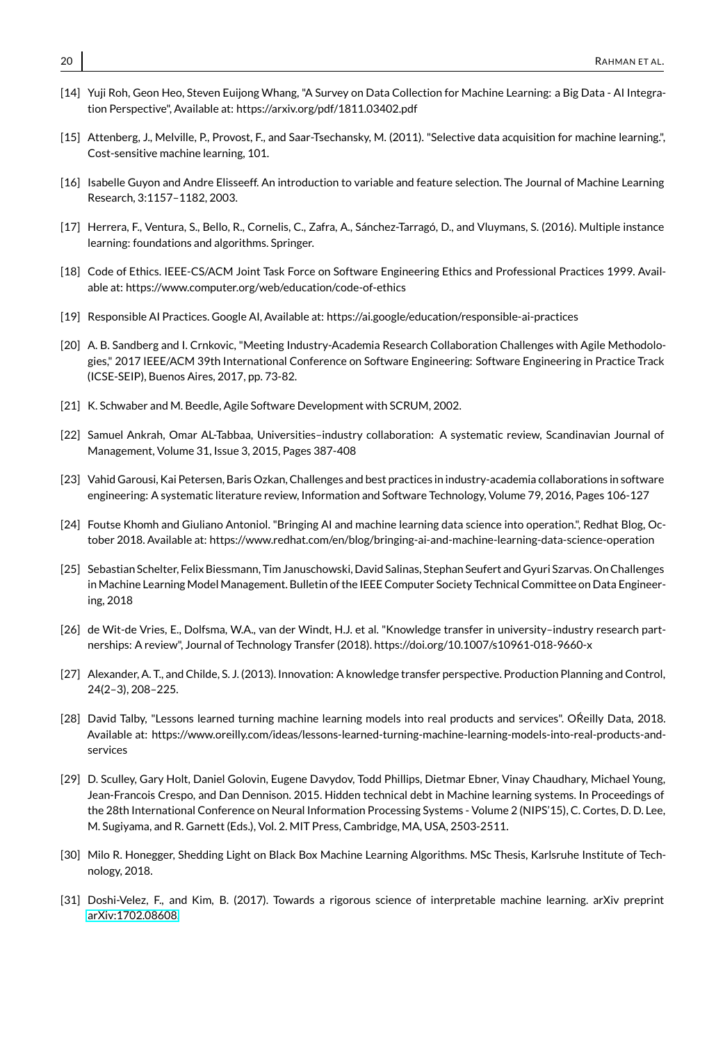- <span id="page-19-7"></span>[14] Yuji Roh, Geon Heo, Steven Euijong Whang, "A Survey on Data Collection for Machine Learning: a Big Data - AI Integration Perspective", Available at: https://arxiv.org/pdf/1811.03402.pdf
- <span id="page-19-15"></span>[15] Attenberg, J., Melville, P., Provost, F., and Saar-Tsechansky, M. (2011). "Selective data acquisition for machine learning.", Cost-sensitive machine learning, 101.
- <span id="page-19-9"></span>[16] Isabelle Guyon and Andre Elisseeff. An introduction to variable and feature selection. The Journal of Machine Learning Research, 3:1157–1182, 2003.
- <span id="page-19-8"></span>[17] Herrera, F., Ventura, S., Bello, R., Cornelis, C., Zafra, A., Sánchez-Tarragó, D., and Vluymans, S. (2016). Multiple instance learning: foundations and algorithms. Springer.
- <span id="page-19-11"></span>[18] Code of Ethics. IEEE-CS/ACM Joint Task Force on Software Engineering Ethics and Professional Practices 1999. Available at: https://www.computer.org/web/education/code-of-ethics
- <span id="page-19-10"></span>[19] Responsible AI Practices. Google AI, Available at: https://ai.google/education/responsible-ai-practices
- <span id="page-19-3"></span>[20] A. B. Sandberg and I. Crnkovic, "Meeting Industry-Academia Research Collaboration Challenges with Agile Methodologies," 2017 IEEE/ACM 39th International Conference on Software Engineering: Software Engineering in Practice Track (ICSE-SEIP), Buenos Aires, 2017, pp. 73-82.
- <span id="page-19-4"></span>[21] K. Schwaber and M. Beedle, Agile Software Development with SCRUM, 2002.
- <span id="page-19-14"></span>[22] Samuel Ankrah, Omar AL-Tabbaa, Universities–industry collaboration: A systematic review, Scandinavian Journal of Management, Volume 31, Issue 3, 2015, Pages 387-408
- <span id="page-19-2"></span>[23] Vahid Garousi, Kai Petersen, Baris Ozkan, Challenges and best practices in industry-academia collaborations in software engineering: A systematic literature review, Information and Software Technology, Volume 79, 2016, Pages 106-127
- <span id="page-19-0"></span>[24] Foutse Khomh and Giuliano Antoniol. "Bringing AI and machine learning data science into operation.", Redhat Blog, October 2018. Available at: https://www.redhat.com/en/blog/bringing-ai-and-machine-learning-data-science-operation
- <span id="page-19-1"></span>[25] Sebastian Schelter, Felix Biessmann, Tim Januschowski, David Salinas, Stephan Seufert and Gyuri Szarvas. On Challenges in Machine Learning Model Management. Bulletin of the IEEE Computer Society Technical Committee on Data Engineering, 2018
- <span id="page-19-12"></span>[26] de Wit-de Vries, E., Dolfsma, W.A., van der Windt, H.J. et al. "Knowledge transfer in university–industry research partnerships: A review", Journal of Technology Transfer (2018). https://doi.org/10.1007/s10961-018-9660-x
- <span id="page-19-13"></span>[27] Alexander, A. T., and Childe, S. J. (2013). Innovation: A knowledge transfer perspective. Production Planning and Control, 24(2–3), 208–225.
- [28] David Talby, "Lessons learned turning machine learning models into real products and services". OReilly Data, 2018. Available at: https://www.oreilly.com/ideas/lessons-learned-turning-machine-learning-models-into-real-products-andservices
- [29] D. Sculley, Gary Holt, Daniel Golovin, Eugene Davydov, Todd Phillips, Dietmar Ebner, Vinay Chaudhary, Michael Young, Jean-Francois Crespo, and Dan Dennison. 2015. Hidden technical debt in Machine learning systems. In Proceedings of the 28th International Conference on Neural Information Processing Systems - Volume 2 (NIPS'15), C. Cortes, D. D. Lee, M. Sugiyama, and R. Garnett (Eds.), Vol. 2. MIT Press, Cambridge, MA, USA, 2503-2511.
- <span id="page-19-5"></span>[30] Milo R. Honegger, Shedding Light on Black Box Machine Learning Algorithms. MSc Thesis, Karlsruhe Institute of Technology, 2018.
- <span id="page-19-6"></span>[31] Doshi-Velez, F., and Kim, B. (2017). Towards a rigorous science of interpretable machine learning. arXiv preprint [arXiv:1702.08608.](http://arxiv.org/abs/1702.08608)